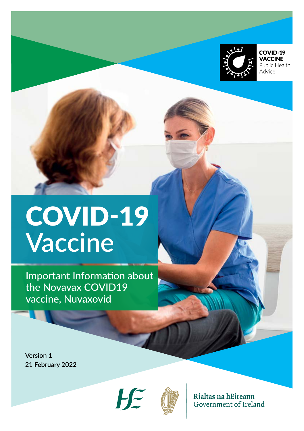

COVID-19 **VACCINE** Public Health Advice

# COVID-19 **Vaccine**

Important Information about the Novavax COVID19 vaccine, Nuvaxovid

**Version 1 21 February 2022**





Rialtas na hÉireann Government of Ireland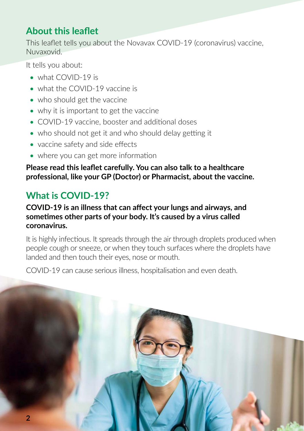## **About this leaflet**

This leaflet tells you about the Novavax COVID-19 (coronavirus) vaccine, Nuvaxovid.

It tells you about:

- what COVID-19 is
- what the COVID-19 vaccine is
- who should get the vaccine
- why it is important to get the vaccine
- COVID-19 vaccine, booster and additional doses
- who should not get it and who should delay getting it
- vaccine safety and side effects
- where you can get more information

**Please read this leaflet carefully. You can also talk to a healthcare professional, like your GP (Doctor) or Pharmacist, about the vaccine.**

# **What is COVID-19?**

#### **COVID-19 is an illness that can affect your lungs and airways, and sometimes other parts of your body. It's caused by a virus called coronavirus.**

It is highly infectious. It spreads through the air through droplets produced when people cough or sneeze, or when they touch surfaces where the droplets have landed and then touch their eyes, nose or mouth.

COVID-19 can cause serious illness, hospitalisation and even death.

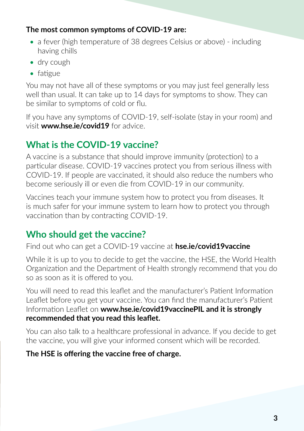#### **The most common symptoms of COVID-19 are:**

- a fever (high temperature of 38 degrees Celsius or above) including having chills
- dry cough
- fatigue

You may not have all of these symptoms or you may just feel generally less well than usual. It can take up to 14 days for symptoms to show. They can be similar to symptoms of cold or flu.

If you have any symptoms of COVID-19, self-isolate (stay in your room) and visit **[www.hse.ie/c](http://www.hse.ie/coronavirus)ovid19** for advice.

# **What is the COVID-19 vaccine?**

A vaccine is a substance that should improve immunity (protection) to a particular disease. COVID-19 vaccines protect you from serious illness with COVID-19. If people are vaccinated, it should also reduce the numbers who become seriously ill or even die from COVID-19 in our community.

Vaccines teach your immune system how to protect you from diseases. It is much safer for your immune system to learn how to protect you through vaccination than by contracting COVID-19.

# **Who should get the vaccine?**

Find out who can get a COVID-19 vaccine at **hse.ie/covid19vaccine**

While it is up to you to decide to get the vaccine, the HSE, the World Health Organization and the Department of Health strongly recommend that you do so as soon as it is offered to you.

You will need to read this leaflet and the manufacturer's Patient Information Leaflet before you get your vaccine. You can find the manufacturer's Patient Information Leaflet on **www.hse.ie/covid19vaccinePIL and it is strongly recommended that you read this leaflet.**

You can also talk to a healthcare professional in advance. If you decide to get the vaccine, you will give your informed consent which will be recorded.

#### **The HSE is offering the vaccine free of charge.**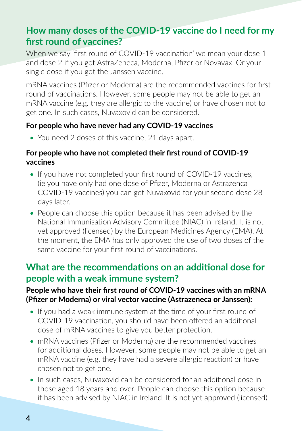## **How many doses of the COVID-19 vaccine do I need for my first round of vaccines?**

When we say 'first round of COVID-19 vaccination' we mean your dose 1 and dose 2 if you got AstraZeneca, Moderna, Pfizer or Novavax. Or your single dose if you got the Janssen vaccine.

mRNA vaccines (Pfizer or Moderna) are the recommended vaccines for first round of vaccinations. However, some people may not be able to get an mRNA vaccine (e.g. they are allergic to the vaccine) or have chosen not to get one. In such cases, Nuvaxovid can be considered.

#### **For people who have never had any COVID-19 vaccines**

• You need 2 doses of this vaccine, 21 days apart.

#### **For people who have not completed their first round of COVID-19 vaccines**

- If you have not completed your first round of COVID-19 vaccines, (ie you have only had one dose of Pfizer, Moderna or Astrazenca COVID-19 vaccines) you can get Nuvaxovid for your second dose 28 days later.
- People can choose this option because it has been advised by the National Immunisation Advisory Committee (NIAC) in Ireland. It is not yet approved (licensed) by the European Medicines Agency (EMA). At the moment, the EMA has only approved the use of two doses of the same vaccine for your first round of vaccinations.

#### **What are the recommendations on an additional dose for people with a weak immune system?**

#### **People who have their first round of COVID-19 vaccines with an mRNA (Pfizer or Moderna) or viral vector vaccine (Astrazeneca or Janssen):**

- If you had a weak immune system at the time of your first round of COVID-19 vaccination, you should have been offered an additional dose of mRNA vaccines to give you better protection.
- mRNA vaccines (Pfizer or Moderna) are the recommended vaccines for additional doses. However, some people may not be able to get an mRNA vaccine (e.g. they have had a severe allergic reaction) or have chosen not to get one.
- In such cases, Nuvaxovid can be considered for an additional dose in those aged 18 years and over. People can choose this option because it has been advised by NIAC in Ireland. It is not yet approved (licensed)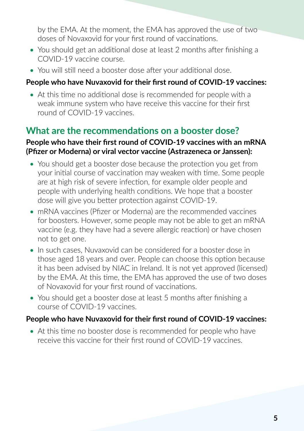by the EMA. At the moment, the EMA has approved the use of two doses of Novaxovid for your first round of vaccinations.

- You should get an additional dose at least 2 months after finishing a COVID-19 vaccine course.
- You will still need a booster dose after your additional dose.

#### **People who have Nuvaxovid for their first round of COVID-19 vaccines:**

• At this time no additional dose is recommended for people with a weak immune system who have receive this vaccine for their first round of COVID-19 vaccines.

## **What are the recommendations on a booster dose?**

#### **People who have their first round of COVID-19 vaccines with an mRNA (Pfizer or Moderna) or viral vector vaccine (Astrazeneca or Janssen):**

- You should get a booster dose because the protection you get from your initial course of vaccination may weaken with time. Some people are at high risk of severe infection, for example older people and people with underlying health conditions. We hope that a booster dose will give you better protection against COVID-19.
- mRNA vaccines (Pfizer or Moderna) are the recommended vaccines for boosters. However, some people may not be able to get an mRNA vaccine (e.g. they have had a severe allergic reaction) or have chosen not to get one.
- In such cases, Nuvaxovid can be considered for a booster dose in those aged 18 years and over. People can choose this option because it has been advised by NIAC in Ireland. It is not yet approved (licensed) by the EMA. At this time, the EMA has approved the use of two doses of Novaxovid for your first round of vaccinations.
- You should get a booster dose at least 5 months after finishing a course of COVID-19 vaccines.

#### **People who have Nuvaxovid for their first round of COVID-19 vaccines:**

• At this time no booster dose is recommended for people who have receive this vaccine for their first round of COVID-19 vaccines.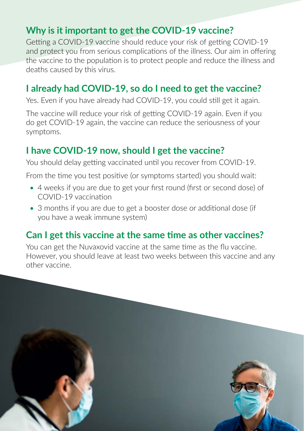## **Why is it important to get the COVID-19 vaccine?**

Getting a COVID-19 vaccine should reduce your risk of getting COVID-19 and protect you from serious complications of the illness. Our aim in offering the vaccine to the population is to protect people and reduce the illness and deaths caused by this virus.

## **I already had COVID-19, so do I need to get the vaccine?**

Yes. Even if you have already had COVID-19, you could still get it again.

The vaccine will reduce your risk of getting COVID-19 again. Even if you do get COVID-19 again, the vaccine can reduce the seriousness of your symptoms.

## **I have COVID-19 now, should I get the vaccine?**

You should delay getting vaccinated until you recover from COVID-19.

From the time you test positive (or symptoms started) you should wait:

- 4 weeks if you are due to get your first round (first or second dose) of COVID-19 vaccination
- 3 months if you are due to get a booster dose or additional dose (if you have a weak immune system)

#### **Can I get this vaccine at the same time as other vaccines?**

You can get the Nuvaxovid vaccine at the same time as the flu vaccine. However, you should leave at least two weeks between this vaccine and any other vaccine.

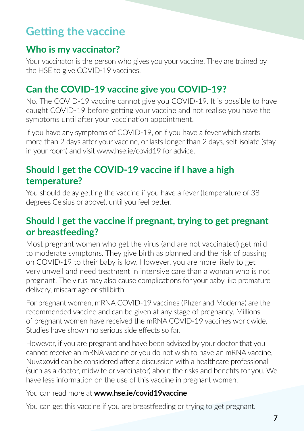# **Getting the vaccine**

#### **Who is my vaccinator?**

Your vaccinator is the person who gives you your vaccine. They are trained by the HSE to give COVID-19 vaccines.

## **Can the COVID-19 vaccine give you COVID-19?**

No. The COVID-19 vaccine cannot give you COVID-19. It is possible to have caught COVID-19 before getting your vaccine and not realise you have the symptoms until after your vaccination appointment.

If you have any symptoms of COVID-19, or if you have a fever which starts more than 2 days after your vaccine, or lasts longer than 2 days, self-isolate (stay in your room) and visit www.hse.ie/covid19 for advice.

# **Should I get the COVID-19 vaccine if I have a high temperature?**

You should delay getting the vaccine if you have a fever (temperature of 38 degrees Celsius or above), until you feel better.

## **Should I get the vaccine if pregnant, trying to get pregnant or breastfeeding?**

Most pregnant women who get the virus (and are not vaccinated) get mild to moderate symptoms. They give birth as planned and the risk of passing on COVID-19 to their baby is low. However, you are more likely to get very unwell and need treatment in intensive care than a woman who is not pregnant. The virus may also cause complications for your baby like premature delivery, miscarriage or stillbirth.

For pregnant women, mRNA COVID-19 vaccines (Pfizer and Moderna) are the recommended vaccine and can be given at any stage of pregnancy. Millions of pregnant women have received the mRNA COVID-19 vaccines worldwide. Studies have shown no serious side effects so far.

However, if you are pregnant and have been advised by your doctor that you cannot receive an mRNA vaccine or you do not wish to have an mRNA vaccine, Nuvaxovid can be considered after a discussion with a healthcare professional (such as a doctor, midwife or vaccinator) about the risks and benefits for you. We have less information on the use of this vaccine in pregnant women.

You can read more at **www.hse.ie/covid19vaccine**

You can get this vaccine if you are breastfeeding or trying to get pregnant.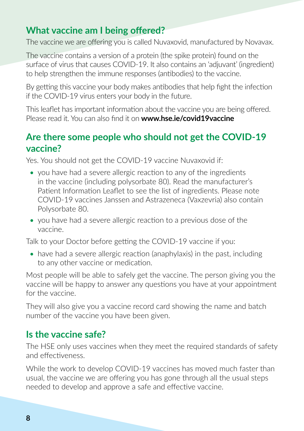## **What vaccine am I being offered?**

The vaccine we are offering you is called Nuvaxovid, manufactured by Novavax.

The vaccine contains a version of a protein (the spike protein) found on the surface of virus that causes COVID-19. It also contains an 'adjuvant' (ingredient) to help strengthen the immune responses (antibodies) to the vaccine.

By getting this vaccine your body makes antibodies that help fight the infection if the COVID-19 virus enters your body in the future.

This leaflet has important information about the vaccine you are being offered. Please read it. You can also find it on **[www.hse.ie/covid19vaccine](http://www.hse.ie/covid19vaccine)**

## **Are there some people who should not get the COVID-19 vaccine?**

Yes. You should not get the COVID-19 vaccine Nuvaxovid if:

- you have had a severe allergic reaction to any of the ingredients in the vaccine (including polysorbate 80). Read the manufacturer's Patient Information Leaflet to see the list of ingredients. Please note COVID-19 vaccines Janssen and Astrazeneca (Vaxzevria) also contain Polysorbate 80.
- you have had a severe allergic reaction to a previous dose of the vaccine.

Talk to your Doctor before getting the COVID-19 vaccine if you:

• have had a severe allergic reaction (anaphylaxis) in the past, including to any other vaccine or medication.

Most people will be able to safely get the vaccine. The person giving you the vaccine will be happy to answer any questions you have at your appointment for the vaccine.

They will also give you a vaccine record card showing the name and batch number of the vaccine you have been given.

#### **Is the vaccine safe?**

The HSE only uses vaccines when they meet the required standards of safety and effectiveness.

While the work to develop COVID-19 vaccines has moved much faster than usual, the vaccine we are offering you has gone through all the usual steps needed to develop and approve a safe and effective vaccine.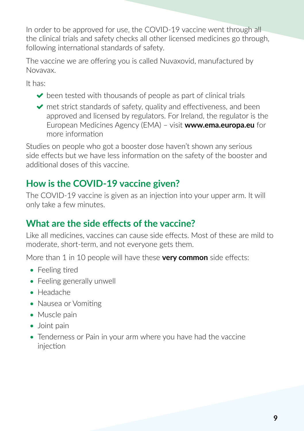In order to be approved for use, the COVID-19 vaccine went through all the clinical trials and safety checks all other licensed medicines go through, following international standards of safety.

The vaccine we are offering you is called Nuvaxovid, manufactured by Novavax.

It has:

- $\triangleright$  been tested with thousands of people as part of clinical trials
- $\triangleright$  met strict standards of safety, quality and effectiveness, and been approved and licensed by regulators. For Ireland, the regulator is the European Medicines Agency (EMA) – visit **[www.ema.europa.eu](http://www.ema.europa.eu)** for more information

Studies on people who got a booster dose haven't shown any serious side effects but we have less information on the safety of the booster and additional doses of this vaccine.

# **How is the COVID-19 vaccine given?**

The COVID-19 vaccine is given as an injection into your upper arm. It will only take a few minutes.

# **What are the side effects of the vaccine?**

Like all medicines, vaccines can cause side effects. Most of these are mild to moderate, short-term, and not everyone gets them.

More than 1 in 10 people will have these **very common** side effects:

- Feeling tired
- Feeling generally unwell
- Headache
- Nausea or Vomiting
- Muscle pain
- Joint pain
- Tenderness or Pain in your arm where you have had the vaccine injection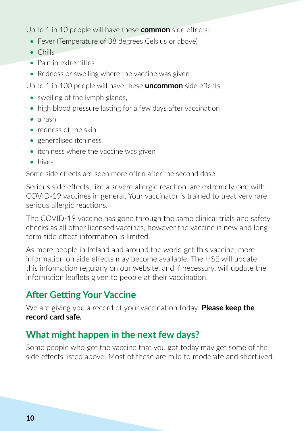Up to 1 in 10 people will have these **common** side effects:

- Fever (Temperature of 38 degrees Celsius or above)
- Chills
- Pain in extremities
- Redness or swelling where the vaccine was given

Up to 1 in 100 people will have these **uncommon** side effects:

- swelling of the lymph glands,
- high blood pressure lasting for a few days after vaccination
- a rash
- redness of the skin
- generalised itchiness
- itchiness where the vaccine was given
- hives

Some side effects are seen more often after the second dose.

Serious side effects, like a severe allergic reaction, are extremely rare with COVID-19 vaccines in general. Your vaccinator is trained to treat very rare serious allergic reactions.

The COVID-19 vaccine has gone through the same clinical trials and safety checks as all other licensed vaccines, however the vaccine is new and longterm side effect information is limited.

As more people in Ireland and around the world get this vaccine, more information on side effects may become available. The HSE will update this information regularly on our website, and if necessary, will update the information leaflets given to people at their vaccination.

# **After Getting Your Vaccine**

We are giving you a record of your vaccination today. **Please keep the record card safe.** 

## **What might happen in the next few days?**

Some people who got the vaccine that you got today may get some of the side effects listed above. Most of these are mild to moderate and shortlived.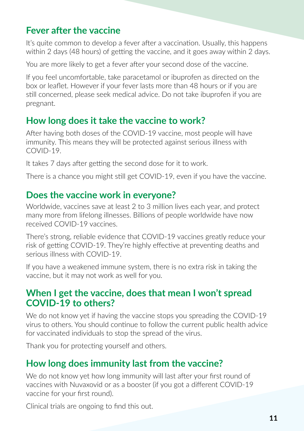## **Fever after the vaccine**

It's quite common to develop a fever after a vaccination. Usually, this happens within 2 days (48 hours) of getting the vaccine, and it goes away within 2 days.

You are more likely to get a fever after your second dose of the vaccine.

If you feel uncomfortable, take paracetamol or ibuprofen as directed on the box or leaflet. However if your fever lasts more than 48 hours or if you are still concerned, please seek medical advice. Do not take ibuprofen if you are pregnant.

#### **How long does it take the vaccine to work?**

After having both doses of the COVID-19 vaccine, most people will have immunity. This means they will be protected against serious illness with COVID-19.

It takes 7 days after getting the second dose for it to work.

There is a chance you might still get COVID-19, even if you have the vaccine.

#### **Does the vaccine work in everyone?**

Worldwide, vaccines save at least 2 to 3 million lives each year, and protect many more from lifelong illnesses. Billions of people worldwide have now received COVID-19 vaccines.

There's strong, reliable evidence that COVID-19 vaccines greatly reduce your risk of getting COVID-19. They're highly effective at preventing deaths and serious illness with COVID-19.

If you have a weakened immune system, there is no extra risk in taking the vaccine, but it may not work as well for you.

#### **When I get the vaccine, does that mean I won't spread COVID-19 to others?**

We do not know yet if having the vaccine stops you spreading the COVID-19 virus to others. You should continue to follow the current public health advice for vaccinated individuals to stop the spread of the virus.

Thank you for protecting yourself and others.

# **How long does immunity last from the vaccine?**

We do not know yet how long immunity will last after your first round of vaccines with Nuvaxovid or as a booster (if you got a different COVID-19 vaccine for your first round).

Clinical trials are ongoing to find this out.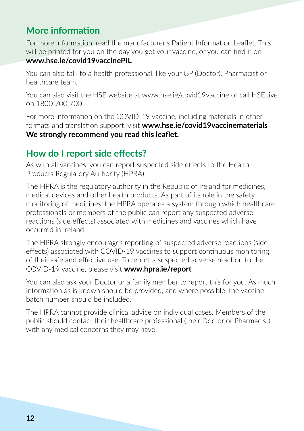## **More information**

For more information, read the manufacturer's Patient Information Leaflet. This will be printed for you on the day you get your vaccine, or you can find it on **[www.hse.ie/covid19vaccinePIL](http://www.hse.ie/covid19vaccinePIL)**

You can also talk to a health professional, like your GP (Doctor), Pharmacist or healthcare team.

You can also visit the HSE website at [www.hse.ie/covid19vaccine](http://www.hse.ie/covid19vaccine) or call HSELive on 1800 700 700

For more information on the COVID-19 vaccine, including materials in other formats and translation support, visit **www.hse.ie/covid19vaccinematerials We strongly recommend you read this leaflet.**

## **How do I report side effects?**

As with all vaccines, you can report suspected side effects to the Health Products Regulatory Authority (HPRA).

The HPRA is the regulatory authority in the Republic of Ireland for medicines, medical devices and other health products. As part of its role in the safety monitoring of medicines, the HPRA operates a system through which healthcare professionals or members of the public can report any suspected adverse reactions (side effects) associated with medicines and vaccines which have occurred in Ireland.

The HPRA strongly encourages reporting of suspected adverse reactions (side effects) associated with COVID-19 vaccines to support continuous monitoring of their safe and effective use. To report a suspected adverse reaction to the COVID-19 vaccine, please visit **[www.hpra.ie/report](http://www.hpra.ie/report)**

You can also ask your Doctor or a family member to report this for you. As much information as is known should be provided, and where possible, the vaccine batch number should be included.

The HPRA cannot provide clinical advice on individual cases. Members of the public should contact their healthcare professional (their Doctor or Pharmacist) with any medical concerns they may have.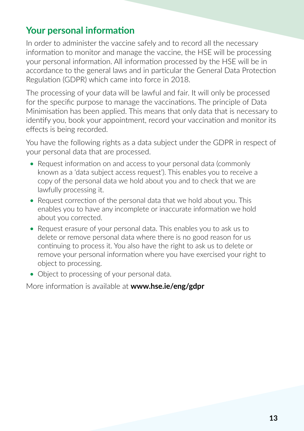## **Your personal information**

In order to administer the vaccine safely and to record all the necessary information to monitor and manage the vaccine, the HSE will be processing your personal information. All information processed by the HSE will be in accordance to the general laws and in particular the General Data Protection Regulation (GDPR) which came into force in 2018.

The processing of your data will be lawful and fair. It will only be processed for the specific purpose to manage the vaccinations. The principle of Data Minimisation has been applied. This means that only data that is necessary to identify you, book your appointment, record your vaccination and monitor its effects is being recorded.

You have the following rights as a data subject under the GDPR in respect of your personal data that are processed.

- Request information on and access to your personal data (commonly known as a 'data subject access request'). This enables you to receive a copy of the personal data we hold about you and to check that we are lawfully processing it.
- Request correction of the personal data that we hold about you. This enables you to have any incomplete or inaccurate information we hold about you corrected.
- Request erasure of your personal data. This enables you to ask us to delete or remove personal data where there is no good reason for us continuing to process it. You also have the right to ask us to delete or remove your personal information where you have exercised your right to object to processing.
- Object to processing of your personal data.

More information is available at **[www.hse.ie/eng/gdpr](http://www.hse.ie/eng/gdpr)**